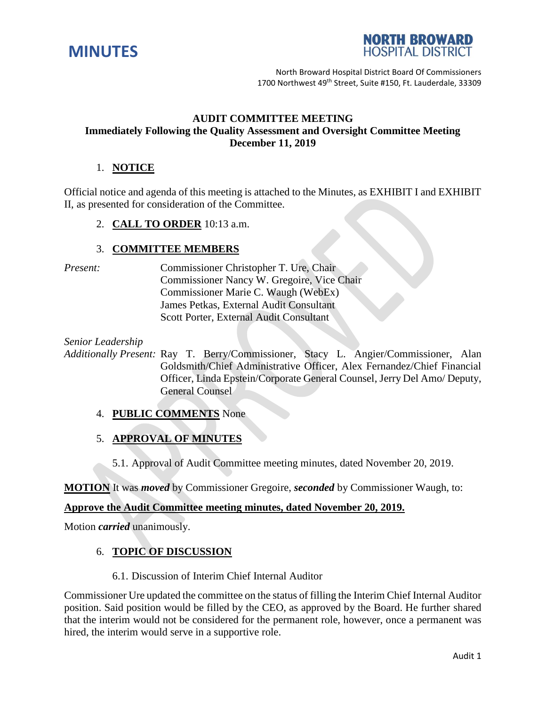



North Broward Hospital District Board Of Commissioners 1700 Northwest 49<sup>th</sup> Street, Suite #150, Ft. Lauderdale, 33309

## **AUDIT COMMITTEE MEETING Immediately Following the Quality Assessment and Oversight Committee Meeting December 11, 2019**

## 1. **NOTICE**

Official notice and agenda of this meeting is attached to the Minutes, as EXHIBIT I and EXHIBIT II, as presented for consideration of the Committee.

2. **CALL TO ORDER** 10:13 a.m.

#### 3. **COMMITTEE MEMBERS**

*Present:* Commissioner Christopher T. Ure, Chair Commissioner Nancy W. Gregoire, Vice Chair Commissioner Marie C. Waugh (WebEx) James Petkas, External Audit Consultant Scott Porter, External Audit Consultant

*Senior Leadership*

*Additionally Present:* Ray T. Berry/Commissioner, Stacy L. Angier/Commissioner, Alan Goldsmith/Chief Administrative Officer, Alex Fernandez/Chief Financial Officer, Linda Epstein/Corporate General Counsel, Jerry Del Amo/ Deputy, General Counsel

4. **PUBLIC COMMENTS** None

5. **APPROVAL OF MINUTES**

5.1. Approval of Audit Committee meeting minutes, dated November 20, 2019.

**MOTION** It was *moved* by Commissioner Gregoire, *seconded* by Commissioner Waugh, to:

#### **Approve the Audit Committee meeting minutes, dated November 20, 2019.**

Motion *carried* unanimously.

### 6. **TOPIC OF DISCUSSION**

6.1. Discussion of Interim Chief Internal Auditor

Commissioner Ure updated the committee on the status of filling the Interim Chief Internal Auditor position. Said position would be filled by the CEO, as approved by the Board. He further shared that the interim would not be considered for the permanent role, however, once a permanent was hired, the interim would serve in a supportive role.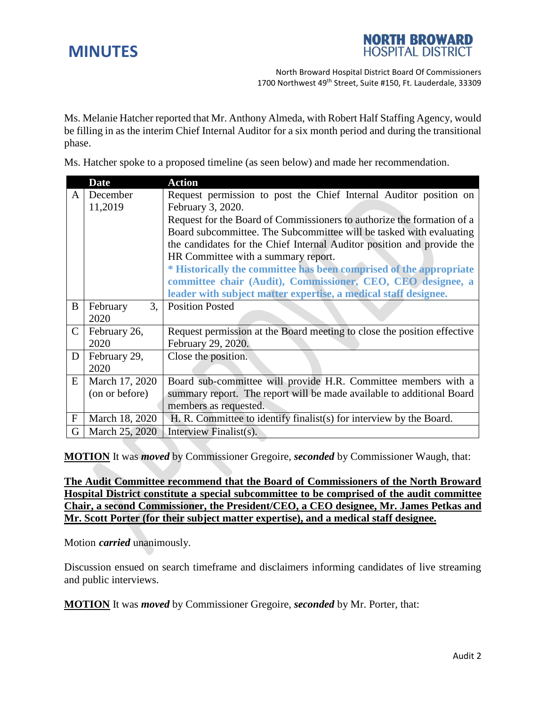

North Broward Hospital District Board Of Commissioners 1700 Northwest 49<sup>th</sup> Street, Suite #150, Ft. Lauderdale, 33309

Ms. Melanie Hatcher reported that Mr. Anthony Almeda, with Robert Half Staffing Agency, would be filling in as the interim Chief Internal Auditor for a six month period and during the transitional phase.

Ms. Hatcher spoke to a proposed timeline (as seen below) and made her recommendation.

|                           | <b>Date</b>    | <b>Action</b>                                                           |
|---------------------------|----------------|-------------------------------------------------------------------------|
| A                         | December       | Request permission to post the Chief Internal Auditor position on       |
|                           | 11,2019        | February 3, 2020.                                                       |
|                           |                | Request for the Board of Commissioners to authorize the formation of a  |
|                           |                | Board subcommittee. The Subcommittee will be tasked with evaluating     |
|                           |                | the candidates for the Chief Internal Auditor position and provide the  |
|                           |                | HR Committee with a summary report.                                     |
|                           |                | * Historically the committee has been comprised of the appropriate      |
|                           |                | committee chair (Audit), Commissioner, CEO, CEO designee, a             |
|                           |                | leader with subject matter expertise, a medical staff designee.         |
| B                         | 3,<br>February | <b>Position Posted</b>                                                  |
|                           | 2020           |                                                                         |
| $\mathsf{C}$              | February 26,   | Request permission at the Board meeting to close the position effective |
|                           | 2020           | February 29, 2020.                                                      |
| D                         | February 29,   | Close the position.                                                     |
|                           | 2020           |                                                                         |
| E                         | March 17, 2020 | Board sub-committee will provide H.R. Committee members with a          |
|                           | (on or before) | summary report. The report will be made available to additional Board   |
|                           |                | members as requested.                                                   |
| $\boldsymbol{\mathrm{F}}$ | March 18, 2020 | H. R. Committee to identify finalist(s) for interview by the Board.     |
| G                         | March 25, 2020 | Interview Finalist(s).                                                  |

**MOTION** It was *moved* by Commissioner Gregoire, *seconded* by Commissioner Waugh, that:

**The Audit Committee recommend that the Board of Commissioners of the North Broward Hospital District constitute a special subcommittee to be comprised of the audit committee Chair, a second Commissioner, the President/CEO, a CEO designee, Mr. James Petkas and Mr. Scott Porter (for their subject matter expertise), and a medical staff designee.**

Motion *carried* unanimously.

Discussion ensued on search timeframe and disclaimers informing candidates of live streaming and public interviews.

**MOTION** It was *moved* by Commissioner Gregoire, *seconded* by Mr. Porter, that: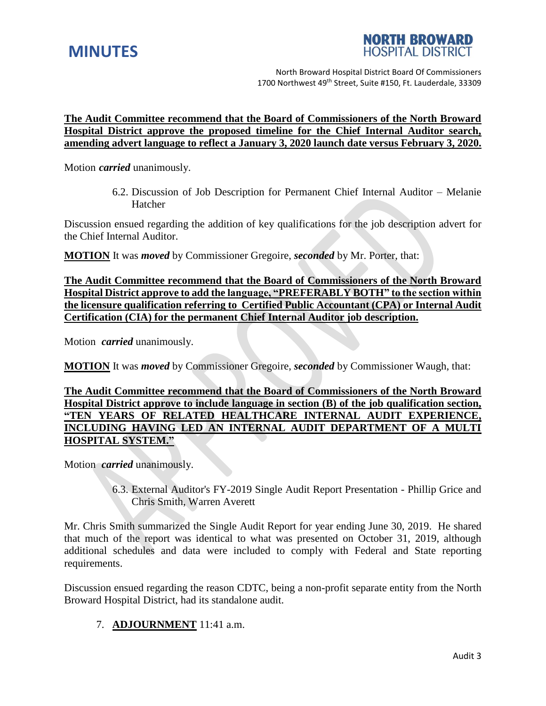



North Broward Hospital District Board Of Commissioners 1700 Northwest 49<sup>th</sup> Street, Suite #150, Ft. Lauderdale, 33309

#### **The Audit Committee recommend that the Board of Commissioners of the North Broward Hospital District approve the proposed timeline for the Chief Internal Auditor search, amending advert language to reflect a January 3, 2020 launch date versus February 3, 2020.**

Motion *carried* unanimously.

6.2. Discussion of Job Description for Permanent Chief Internal Auditor – Melanie Hatcher

Discussion ensued regarding the addition of key qualifications for the job description advert for the Chief Internal Auditor.

**MOTION** It was *moved* by Commissioner Gregoire, *seconded* by Mr. Porter, that:

**The Audit Committee recommend that the Board of Commissioners of the North Broward Hospital District approve to add the language, "PREFERABLY BOTH" to the section within the licensure qualification referring to Certified Public Accountant (CPA) or Internal Audit Certification (CIA) for the permanent Chief Internal Auditor job description.**

Motion *carried* unanimously.

**MOTION** It was *moved* by Commissioner Gregoire, *seconded* by Commissioner Waugh, that:

**The Audit Committee recommend that the Board of Commissioners of the North Broward Hospital District approve to include language in section (B) of the job qualification section, "TEN YEARS OF RELATED HEALTHCARE INTERNAL AUDIT EXPERIENCE, INCLUDING HAVING LED AN INTERNAL AUDIT DEPARTMENT OF A MULTI HOSPITAL SYSTEM."**

Motion *carried* unanimously.

6.3. External Auditor's FY-2019 Single Audit Report Presentation - Phillip Grice and Chris Smith, Warren Averett

Mr. Chris Smith summarized the Single Audit Report for year ending June 30, 2019. He shared that much of the report was identical to what was presented on October 31, 2019, although additional schedules and data were included to comply with Federal and State reporting requirements.

Discussion ensued regarding the reason CDTC, being a non-profit separate entity from the North Broward Hospital District, had its standalone audit.

### 7. **ADJOURNMENT** 11:41 a.m.